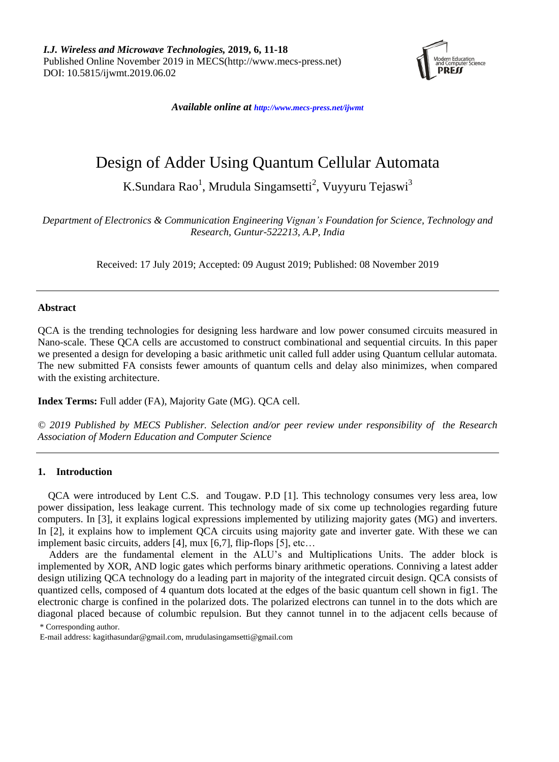

*Available online at <http://www.mecs-press.net/ijwmt>*

# Design of Adder Using Quantum Cellular Automata

K.Sundara Rao<sup>1</sup>, Mrudula Singamsetti<sup>2</sup>, Vuyyuru Tejaswi<sup>3</sup>

*Department of Electronics & Communication Engineering Vignan's Foundation for Science, Technology and Research, Guntur-522213, A.P, India*

Received: 17 July 2019; Accepted: 09 August 2019; Published: 08 November 2019

## **Abstract**

QCA is the trending technologies for designing less hardware and low power consumed circuits measured in Nano-scale. These QCA cells are accustomed to construct combinational and sequential circuits. In this paper we presented a design for developing a basic arithmetic unit called full adder using Quantum cellular automata. The new submitted FA consists fewer amounts of quantum cells and delay also minimizes, when compared with the existing architecture.

**Index Terms:** Full adder (FA), Majority Gate (MG). QCA cell.

*© 2019 Published by MECS Publisher. Selection and/or peer review under responsibility of the Research Association of Modern Education and Computer Science*

### **1. Introduction**

QCA were introduced by Lent C.S. and Tougaw. P.D [1]. This technology consumes very less area, low power dissipation, less leakage current. This technology made of six come up technologies regarding future computers. In [3], it explains logical expressions implemented by utilizing majority gates (MG) and inverters. In [2], it explains how to implement QCA circuits using majority gate and inverter gate. With these we can implement basic circuits, adders [4], mux [6,7], flip-flops [5], etc...

Adders are the fundamental element in the ALU's and Multiplications Units. The adder block is implemented by XOR, AND logic gates which performs binary arithmetic operations. Conniving a latest adder design utilizing QCA technology do a leading part in majority of the integrated circuit design. QCA consists of quantized cells, composed of 4 quantum dots located at the edges of the basic quantum cell shown in fig1. The electronic charge is confined in the polarized dots. The polarized electrons can tunnel in to the dots which are diagonal placed because of columbic repulsion. But they cannot tunnel in to the adjacent cells because of

\* Corresponding author.

E-mail address: kagithasundar@gmail.com, mrudulasingamsetti@gmail.com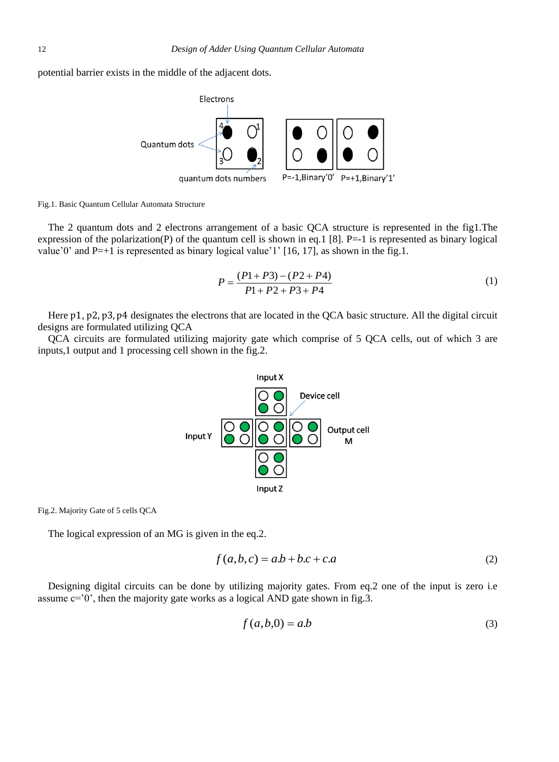potential barrier exists in the middle of the adjacent dots.



Fig.1. Basic Quantum Cellular Automata Structure

The 2 quantum dots and 2 electrons arrangement of a basic QCA structure is represented in the fig1.The expression of the polarization(P) of the quantum cell is shown in eq.1 [8]. P=-1 is represented as binary logical value'0' and P=+1 is represented as binary logical value'1' [16, 17], as shown in the fig.1.

$$
P = \frac{(P1 + P3) - (P2 + P4)}{P1 + P2 + P3 + P4}
$$
\n<sup>(1)</sup>

Here p1, p2, p3, p4 designates the electrons that are located in the QCA basic structure. All the digital circuit designs are formulated utilizing QCA

QCA circuits are formulated utilizing majority gate which comprise of 5 QCA cells, out of which 3 are inputs,1 output and 1 processing cell shown in the fig.2.



Fig.2. Majority Gate of 5 cells QCA

The logical expression of an MG is given in the eq.2.

$$
f(a,b,c) = a.b + b.c + c.a
$$
 (2)

Designing digital circuits can be done by utilizing majority gates. From eq.2 one of the input is zero i.e assume  $c=0'$ , then the majority gate works as a logical AND gate shown in fig.3.

$$
f(a,b,0) = a.b \tag{3}
$$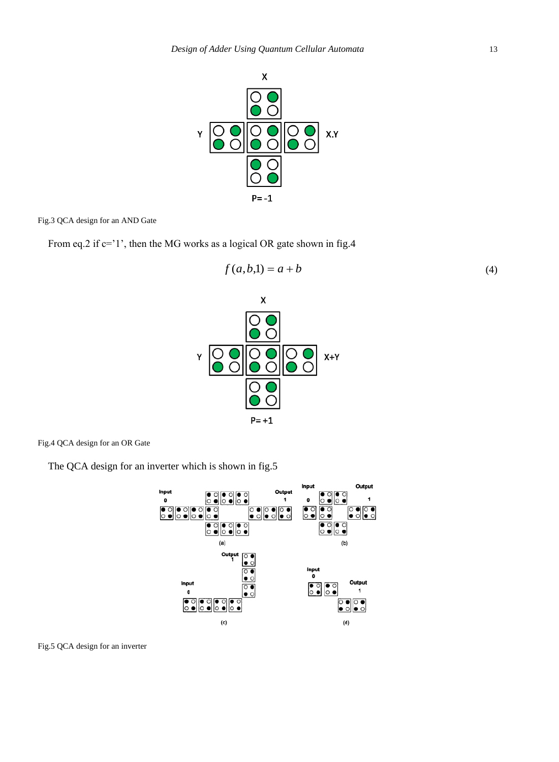

Fig.3 QCA design for an AND Gate

From eq.2 if c='1', then the MG works as a logical OR gate shown in fig.4

$$
f(a,b,1) = a + b
$$
\n
$$
x
$$
\n
$$
\boxed{\bigcirc \bullet}
$$
\n(4)



Fig.4 QCA design for an OR Gate

The QCA design for an inverter which is shown in fig.5



Fig.5 QCA design for an inverter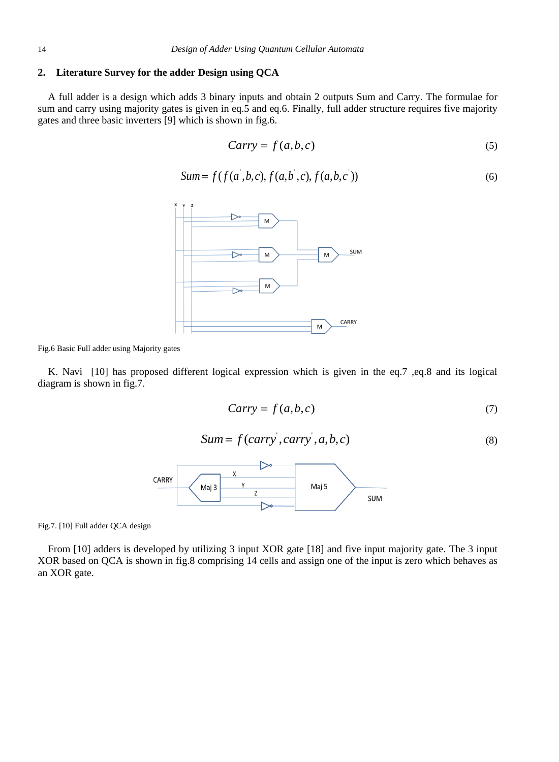## **2. Literature Survey for the adder Design using QCA**

A full adder is a design which adds 3 binary inputs and obtain 2 outputs Sum and Carry. The formulae for sum and carry using majority gates is given in eq.5 and eq.6. Finally, full adder structure requires five majority gates and three basic inverters [9] which is shown in fig.6.

$$
Carry = f(a, b, c) \tag{5}
$$

$$
Sum = f(f(a', b, c), f(a, b', c), f(a, b, c'))
$$
\n(6)



Fig.6 Basic Full adder using Majority gates

K. Navi [10] has proposed different logical expression which is given in the eq.7 ,eq.8 and its logical diagram is shown in fig.7.

$$
Carry = f(a, b, c) \tag{7}
$$

$$
Sum = f(carry, carry', a, b, c)
$$
\n(8)



Fig.7. [10] Full adder QCA design

From [10] adders is developed by utilizing 3 input XOR gate [18] and five input majority gate. The 3 input XOR based on QCA is shown in fig.8 comprising 14 cells and assign one of the input is zero which behaves as an XOR gate.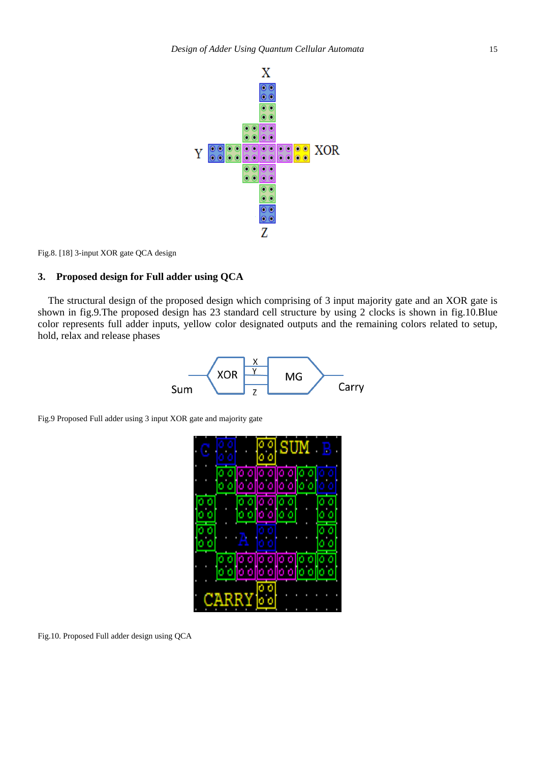

Fig.8. [18] 3-input XOR gate QCA design

# **3. Proposed design for Full adder using QCA**

The structural design of the proposed design which comprising of 3 input majority gate and an XOR gate is shown in fig.9.The proposed design has 23 standard cell structure by using 2 clocks is shown in fig.10.Blue color represents full adder inputs, yellow color designated outputs and the remaining colors related to setup, hold, relax and release phases



Fig.9 Proposed Full adder using 3 input XOR gate and majority gate



Fig.10. Proposed Full adder design using QCA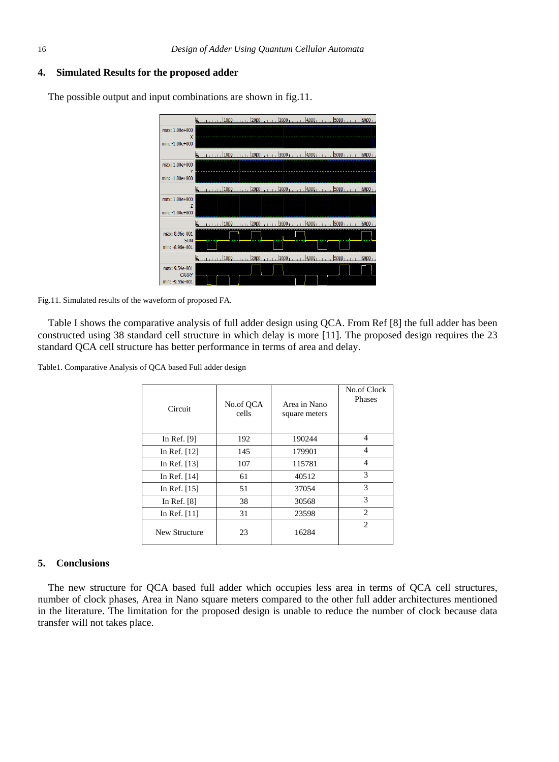#### **4. Simulated Results for the proposed adder**

in and a state in the book , 2000, , , , , , 3000, , , , , , 4000, , , , , , 5000, , , , , , 6000, max: 1.00e+000  $min: -1.00e + 0.00$  $1.1000111112000111113000111114000111115000111116000111111$ max: 1.00e+000 min: -1.00e+000 max: 1.00e+000 min: -1.00e+000 max: 8.96e-001 SUM min: -8.96e-001  $bono.$  $\frac{1}{2000}$ , , ,  $\frac{1}{4000}$  $1000.$  $\overline{a}$  Isono lenno may: 0.54e-001 CARR<sup>V</sup> min: -9.55e-00:

The possible output and input combinations are shown in fig.11.

Fig.11. Simulated results of the waveform of proposed FA.

Table I shows the comparative analysis of full adder design using QCA. From Ref [8] the full adder has been constructed using 38 standard cell structure in which delay is more [11]. The proposed design requires the 23 standard QCA cell structure has better performance in terms of area and delay.

Table1. Comparative Analysis of QCA based Full adder design

| Circuit        | No.of QCA<br>cells | Area in Nano<br>square meters | No.of Clock<br>Phases |
|----------------|--------------------|-------------------------------|-----------------------|
| In Ref. $[9]$  | 192                | 190244                        | 4                     |
| In Ref. $[12]$ | 145                | 179901                        | 4                     |
| In Ref. $[13]$ | 107                | 115781                        | 4                     |
| In Ref. [14]   | 61                 | 40512                         | $\mathcal{R}$         |
| In Ref. [15]   | 51                 | 37054                         | 3                     |
| In Ref. $[8]$  | 38                 | 30568                         | 3                     |
| In Ref. $[11]$ | 31                 | 23598                         | $\mathfrak{D}$        |
| New Structure  | 23                 | 16284                         | $\mathcal{D}$         |

#### **5. Conclusions**

The new structure for QCA based full adder which occupies less area in terms of QCA cell structures, number of clock phases, Area in Nano square meters compared to the other full adder architectures mentioned in the literature. The limitation for the proposed design is unable to reduce the number of clock because data transfer will not takes place.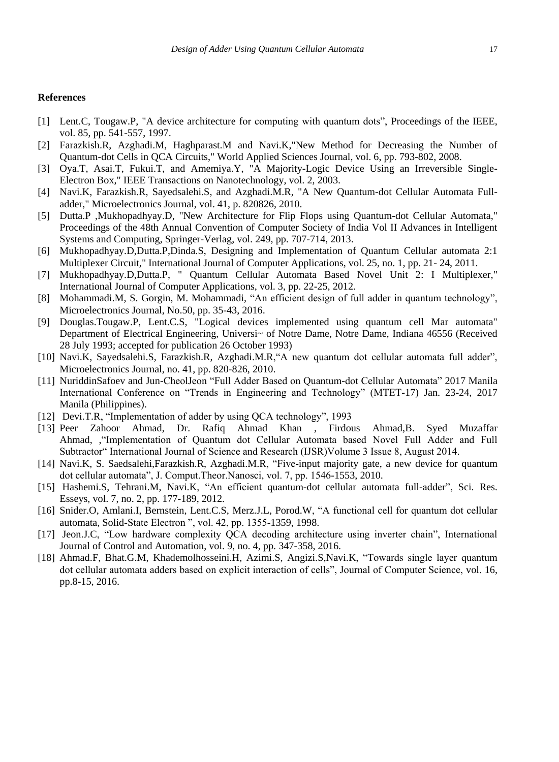#### **References**

- [1] Lent.C, Tougaw.P, "A device architecture for computing with quantum dots", Proceedings of the IEEE, vol. 85, pp. 541-557, 1997.
- [2] Farazkish.R, Azghadi.M, Haghparast.M and Navi.K,"New Method for Decreasing the Number of Quantum-dot Cells in QCA Circuits," World Applied Sciences Journal, vol. 6, pp. 793-802, 2008.
- [3] Oya.T, Asai.T, Fukui.T, and Amemiya.Y, "A Majority-Logic Device Using an Irreversible Single-Electron Box," IEEE Transactions on Nanotechnology, vol. 2, 2003.
- [4] Navi.K, Farazkish.R, Sayedsalehi.S, and Azghadi.M.R, "A New Quantum-dot Cellular Automata Fulladder," Microelectronics Journal, vol. 41, p. 820826, 2010.
- [5] Dutta.P ,Mukhopadhyay.D, "New Architecture for Flip Flops using Quantum-dot Cellular Automata," Proceedings of the 48th Annual Convention of Computer Society of India Vol II Advances in Intelligent Systems and Computing, Springer-Verlag, vol. 249, pp. 707-714, 2013.
- [6] Mukhopadhyay.D,Dutta.P,Dinda.S, Designing and Implementation of Quantum Cellular automata 2:1 Multiplexer Circuit," International Journal of Computer Applications, vol. 25, no. 1, pp. 21- 24, 2011.
- [7] Mukhopadhyay.D,Dutta.P, " Quantum Cellular Automata Based Novel Unit 2: I Multiplexer," International Journal of Computer Applications, vol. 3, pp. 22-25, 2012.
- [8] Mohammadi.M, S. Gorgin, M. Mohammadi, "An efficient design of full adder in quantum technology", Microelectronics Journal, No.50, pp. 35-43, 2016.
- [9] Douglas.Tougaw.P, Lent.C.S, "Logical devices implemented using quantum cell Mar automata" Department of Electrical Engineering, Universi~ of Notre Dame, Notre Dame, Indiana 46556 (Received 28 July 1993; accepted for publication 26 October 1993)
- [10] Navi.K, Sayedsalehi.S, Farazkish.R, Azghadi.M.R,"A new quantum dot cellular automata full adder", Microelectronics Journal, no. 41, pp. 820-826, 2010.
- [11] NuriddinSafoev and Jun-CheolJeon "Full Adder Based on Quantum-dot Cellular Automata" 2017 Manila International Conference on "Trends in Engineering and Technology" (MTET-17) Jan. 23-24, 2017 Manila (Philippines).
- [12] Devi.T.R, "Implementation of adder by using QCA technology", 1993
- [13] Peer Zahoor Ahmad, Dr. Rafiq Ahmad Khan , Firdous Ahmad,B. Syed Muzaffar Ahmad, ,"Implementation of Quantum dot Cellular Automata based Novel Full Adder and Full Subtractor" International Journal of Science and Research (IJSR)Volume 3 Issue 8, August 2014.
- [14] Navi.K, S. Saedsalehi,Farazkish.R, Azghadi.M.R, "Five-input majority gate, a new device for quantum dot cellular automata", J. Comput.Theor.Nanosci, vol. 7, pp. 1546-1553, 2010.
- [15] Hashemi.S, Tehrani.M, Navi.K, "An efficient quantum-dot cellular automata full-adder", Sci. Res. Esseys, vol. 7, no. 2, pp. 177-189, 2012.
- [16] Snider.O, Amlani.I, Bernstein, Lent.C.S, Merz.J.L, Porod.W, "A functional cell for quantum dot cellular automata, Solid-State Electron ", vol. 42, pp. 1355-1359, 1998.
- [17] Jeon.J.C, "Low hardware complexity QCA decoding architecture using inverter chain", International Journal of Control and Automation, vol. 9, no. 4, pp. 347-358, 2016.
- [18] Ahmad.F, Bhat.G.M, Khademolhosseini.H, Azimi.S, Angizi.S,Navi.K, "Towards single layer quantum dot cellular automata adders based on explicit interaction of cells", Journal of Computer Science, vol. 16, pp.8-15, 2016.